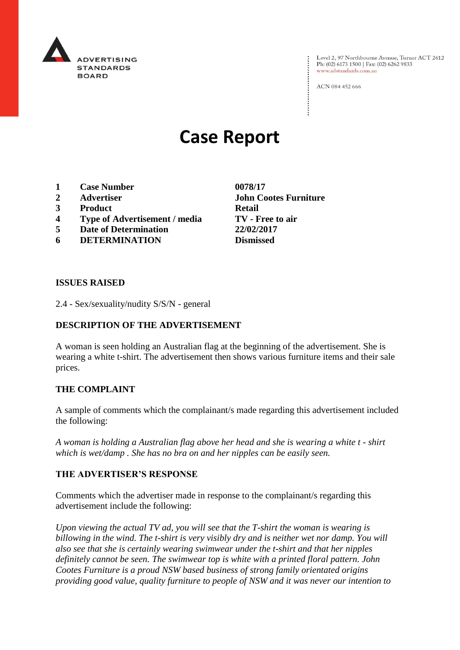

Level 2, 97 Northbourne Avenue, Turner ACT 2612<br>Ph: (02) 6173 1500 | Fax: (02) 6262 9833 www.adstandards.com.au

ACN 084 452 666

# **Case Report**

- **1 Case Number 0078/17**
- 
- **3 Product Retail**
- **4 Type of Advertisement / media TV - Free to air**
- **5 Date of Determination 22/02/2017**
- **6 DETERMINATION Dismissed**

**2 Advertiser John Cootes Furniture** 

#### **ISSUES RAISED**

2.4 - Sex/sexuality/nudity S/S/N - general

### **DESCRIPTION OF THE ADVERTISEMENT**

A woman is seen holding an Australian flag at the beginning of the advertisement. She is wearing a white t-shirt. The advertisement then shows various furniture items and their sale prices.

#### **THE COMPLAINT**

A sample of comments which the complainant/s made regarding this advertisement included the following:

*A woman is holding a Australian flag above her head and she is wearing a white t - shirt which is wet/damp . She has no bra on and her nipples can be easily seen.* 

#### **THE ADVERTISER'S RESPONSE**

Comments which the advertiser made in response to the complainant/s regarding this advertisement include the following:

*Upon viewing the actual TV ad, you will see that the T-shirt the woman is wearing is billowing in the wind. The t-shirt is very visibly dry and is neither wet nor damp. You will also see that she is certainly wearing swimwear under the t-shirt and that her nipples definitely cannot be seen. The swimwear top is white with a printed floral pattern. John Cootes Furniture is a proud NSW based business of strong family orientated origins providing good value, quality furniture to people of NSW and it was never our intention to*